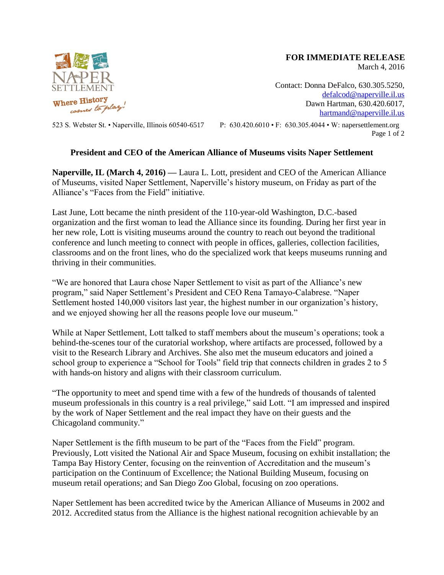

## **FOR IMMEDIATE RELEASE**

March 4, 2016

Contact: Donna DeFalco, 630.305.5250, [defalcod@naperville.il.us](mailto:defalcod@naperville.il.us) Dawn Hartman, 630.420.6017, [hartmand@naperville.il.us](mailto:hartmand@naperville.il.us)

523 S. Webster St. • Naperville, Illinois 60540-6517 P: 630.420.6010 • F: 630.305.4044 • W: napersettlement.org Page 1 of 2

## **President and CEO of the American Alliance of Museums visits Naper Settlement**

**Naperville, IL (March 4, 2016) —** Laura L. Lott, president and CEO of the American Alliance of Museums, visited Naper Settlement, Naperville's history museum, on Friday as part of the Alliance's "Faces from the Field" initiative.

Last June, Lott became the ninth president of the 110-year-old Washington, D.C.-based organization and the first woman to lead the Alliance since its founding. During her first year in her new role, Lott is visiting museums around the country to reach out beyond the traditional conference and lunch meeting to connect with people in offices, galleries, collection facilities, classrooms and on the front lines, who do the specialized work that keeps museums running and thriving in their communities.

"We are honored that Laura chose Naper Settlement to visit as part of the Alliance's new program," said Naper Settlement's President and CEO Rena Tamayo-Calabrese. "Naper Settlement hosted 140,000 visitors last year, the highest number in our organization's history, and we enjoyed showing her all the reasons people love our museum."

While at Naper Settlement, Lott talked to staff members about the museum's operations; took a behind-the-scenes tour of the curatorial workshop, where artifacts are processed, followed by a visit to the Research Library and Archives. She also met the museum educators and joined a school group to experience a "School for Tools" field trip that connects children in grades 2 to 5 with hands-on history and aligns with their classroom curriculum.

"The opportunity to meet and spend time with a few of the hundreds of thousands of talented museum professionals in this country is a real privilege," said Lott. "I am impressed and inspired by the work of Naper Settlement and the real impact they have on their guests and the Chicagoland community."

Naper Settlement is the fifth museum to be part of the "Faces from the Field" program. Previously, Lott visited the National Air and Space Museum, focusing on exhibit installation; the Tampa Bay History Center, focusing on the reinvention of Accreditation and the museum's participation on the Continuum of Excellence; the National Building Museum, focusing on museum retail operations; and San Diego Zoo Global, focusing on zoo operations.

Naper Settlement has been accredited twice by the American Alliance of Museums in 2002 and 2012. Accredited status from the Alliance is the highest national recognition achievable by an